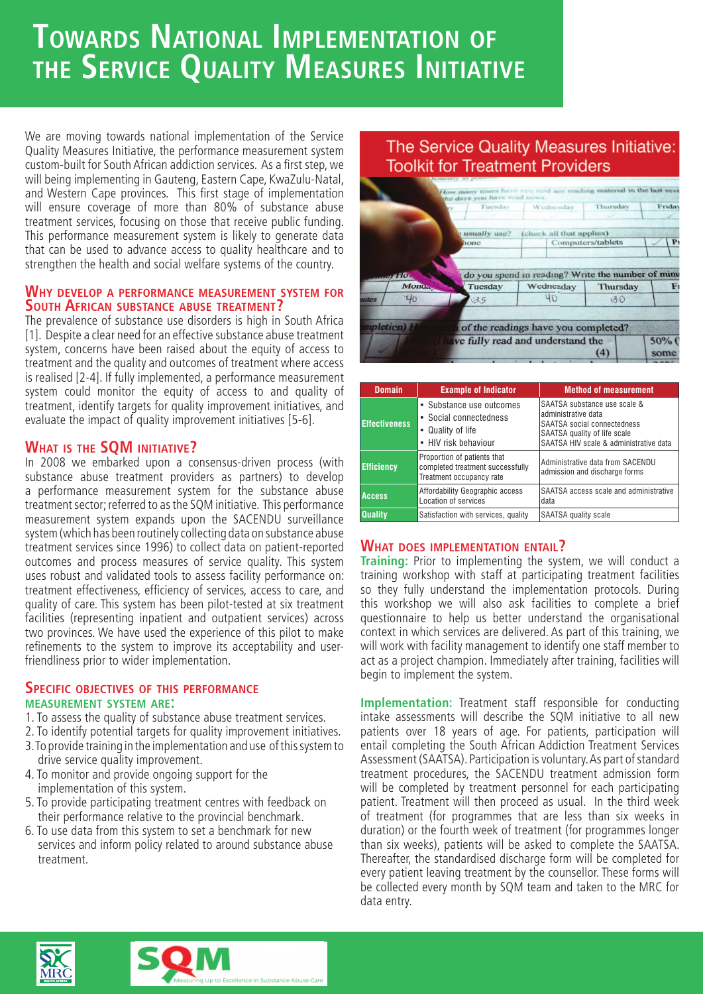# **TOWARDS NATIONAL IMPLEMENTATION OF THE SERVICE QUALITY MEASURES INITIATIVE**

We are moving towards national implementation of the Service Quality Measures Initiative, the performance measurement system custom-built for South African addiction services. As a first step, we will being implementing in Gauteng, Eastern Cape, KwaZulu-Natal, and Western Cape provinces. This first stage of implementation will ensure coverage of more than 80% of substance abuse treatment services, focusing on those that receive public funding. This performance measurement system is likely to generate data that can be used to advance access to quality healthcare and to strengthen the health and social welfare systems of the country.

### **WHY DEVELOP <sup>A</sup> PERFORMANCE MEASUREMENT SYSTEM FOR SOUTH AFRICAN SUBSTANCE ABUSE TREATMENT?**

The prevalence of substance use disorders is high in South Africa [1]. Despite a clear need for an effective substance abuse treatment system, concerns have been raised about the equity of access to treatment and the quality and outcomes of treatment where access is realised [2-4]. If fully implemented, a performance measurement system could monitor the equity of access to and quality of treatment, identify targets for quality improvement initiatives, and evaluate the impact of quality improvement initiatives [5-6].

### **WHAT IS THE SQM INITIATIVE?**

In 2008 we embarked upon a consensus-driven process (with substance abuse treatment providers as partners) to develop a performance measurement system for the substance abuse treatment sector; referred to as the SQM initiative. This performance measurement system expands upon the SACENDU surveillance system (which has been routinely collecting data on substance abuse treatment services since 1996) to collect data on patient-reported outcomes and process measures of service quality. This system uses robust and validated tools to assess facility performance on: treatment effectiveness, efficiency of services, access to care, and quality of care. This system has been pilot-tested at six treatment facilities (representing inpatient and outpatient services) across two provinces. We have used the experience of this pilot to make refinements to the system to improve its acceptability and userfriendliness prior to wider implementation.

#### **SPECIFIC OBJECTIVES OF THIS PERFORMANCE MEASUREMENT SYSTEM ARE:**

- 1. To assess the quality of substance abuse treatment services.
- 2. To identify potential targets for quality improvement initiatives. 3. To provide training in the implementation and use of this system to drive service quality improvement.
- 4. To monitor and provide ongoing support for the implementation of this system.
- 5. To provide participating treatment centres with feedback on their performance relative to the provincial benchmark.
- 6. To use data from this system to set a benchmark for new services and inform policy related to around substance abuse treatment.

# The Service Quality Measures Initiative: **Toolkit for Treatment Providers**



| <b>Domain</b>        | <b>Example of Indicator</b>                                                                     | <b>Method of measurement</b>                                                                                                                                 |
|----------------------|-------------------------------------------------------------------------------------------------|--------------------------------------------------------------------------------------------------------------------------------------------------------------|
| <b>Effectiveness</b> | • Substance use outcomes<br>• Social connectedness<br>• Quality of life<br>• HIV risk behaviour | SAATSA substance use scale &<br>administrative data<br>SAATSA social connectedness<br>SAATSA quality of life scale<br>SAATSA HIV scale & administrative data |
| <b>Efficiency</b>    | Proportion of patients that<br>completed treatment successfully<br>Treatment occupancy rate     | Administrative data from SACENDU<br>admission and discharge forms                                                                                            |
| <b>Access</b>        | Affordability Geographic access<br>Location of services                                         | SAATSA access scale and administrative<br>data                                                                                                               |
| <b>Quality</b>       | Satisfaction with services, quality                                                             | SAATSA quality scale                                                                                                                                         |

## **WHAT DOES IMPLEMENTATION ENTAIL?**

**Training:** Prior to implementing the system, we will conduct a training workshop with staff at participating treatment facilities so they fully understand the implementation protocols. During this workshop we will also ask facilities to complete a brief questionnaire to help us better understand the organisational context in which services are delivered. As part of this training, we will work with facility management to identify one staff member to act as a project champion. Immediately after training, facilities will begin to implement the system.

**Implementation:** Treatment staff responsible for conducting intake assessments will describe the SQM initiative to all new patients over 18 years of age. For patients, participation will entail completing the South African Addiction Treatment Services Assessment (SAATSA). Participation is voluntary. As part of standard treatment procedures, the SACENDU treatment admission form will be completed by treatment personnel for each participating patient. Treatment will then proceed as usual. In the third week of treatment (for programmes that are less than six weeks in duration) or the fourth week of treatment (for programmes longer than six weeks), patients will be asked to complete the SAATSA. Thereafter, the standardised discharge form will be completed for every patient leaving treatment by the counsellor. These forms will be collected every month by SQM team and taken to the MRC for data entry.